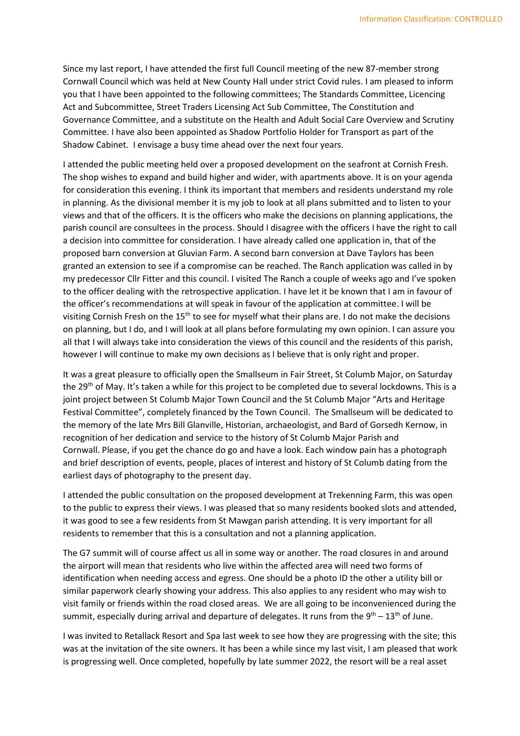Since my last report, I have attended the first full Council meeting of the new 87-member strong Cornwall Council which was held at New County Hall under strict Covid rules. I am pleased to inform you that I have been appointed to the following committees; The Standards Committee, Licencing Act and Subcommittee, Street Traders Licensing Act Sub Committee, The Constitution and Governance Committee, and a substitute on the Health and Adult Social Care Overview and Scrutiny Committee. I have also been appointed as Shadow Portfolio Holder for Transport as part of the Shadow Cabinet. I envisage a busy time ahead over the next four years.

I attended the public meeting held over a proposed development on the seafront at Cornish Fresh. The shop wishes to expand and build higher and wider, with apartments above. It is on your agenda for consideration this evening. I think its important that members and residents understand my role in planning. As the divisional member it is my job to look at all plans submitted and to listen to your views and that of the officers. It is the officers who make the decisions on planning applications, the parish council are consultees in the process. Should I disagree with the officers I have the right to call a decision into committee for consideration. I have already called one application in, that of the proposed barn conversion at Gluvian Farm. A second barn conversion at Dave Taylors has been granted an extension to see if a compromise can be reached. The Ranch application was called in by my predecessor Cllr Fitter and this council. I visited The Ranch a couple of weeks ago and I've spoken to the officer dealing with the retrospective application. I have let it be known that I am in favour of the officer's recommendations at will speak in favour of the application at committee. I will be visiting Cornish Fresh on the  $15<sup>th</sup>$  to see for myself what their plans are. I do not make the decisions on planning, but I do, and I will look at all plans before formulating my own opinion. I can assure you all that I will always take into consideration the views of this council and the residents of this parish, however I will continue to make my own decisions as I believe that is only right and proper.

It was a great pleasure to officially open the Smallseum in Fair Street, St Columb Major, on Saturday the 29<sup>th</sup> of May. It's taken a while for this project to be completed due to several lockdowns. This is a joint project between St Columb Major Town Council and the St Columb Major "Arts and Heritage Festival Committee", completely financed by the Town Council. The Smallseum will be dedicated to the memory of the late Mrs Bill Glanville, Historian, archaeologist, and Bard of Gorsedh Kernow, in recognition of her dedication and service to the history of St Columb Major Parish and Cornwall. Please, if you get the chance do go and have a look. Each window pain has a photograph and brief description of events, people, places of interest and history of St Columb dating from the earliest days of photography to the present day.

I attended the public consultation on the proposed development at Trekenning Farm, this was open to the public to express their views. I was pleased that so many residents booked slots and attended, it was good to see a few residents from St Mawgan parish attending. It is very important for all residents to remember that this is a consultation and not a planning application.

The G7 summit will of course affect us all in some way or another. The road closures in and around the airport will mean that residents who live within the affected area will need two forms of identification when needing access and egress. One should be a photo ID the other a utility bill or similar paperwork clearly showing your address. This also applies to any resident who may wish to visit family or friends within the road closed areas. We are all going to be inconvenienced during the summit, especially during arrival and departure of delegates. It runs from the  $9<sup>th</sup> - 13<sup>th</sup>$  of June.

I was invited to Retallack Resort and Spa last week to see how they are progressing with the site; this was at the invitation of the site owners. It has been a while since my last visit, I am pleased that work is progressing well. Once completed, hopefully by late summer 2022, the resort will be a real asset